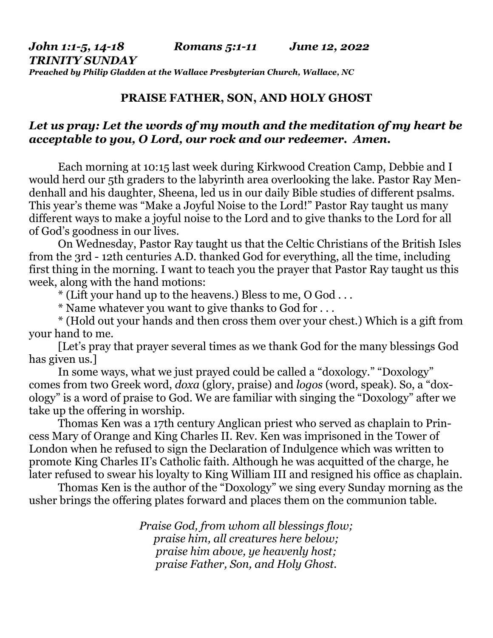## **PRAISE FATHER, SON, AND HOLY GHOST**

## *Let us pray: Let the words of my mouth and the meditation of my heart be acceptable to you, O Lord, our rock and our redeemer. Amen.*

Each morning at 10:15 last week during Kirkwood Creation Camp, Debbie and I would herd our 5th graders to the labyrinth area overlooking the lake. Pastor Ray Mendenhall and his daughter, Sheena, led us in our daily Bible studies of different psalms. This year's theme was "Make a Joyful Noise to the Lord!" Pastor Ray taught us many different ways to make a joyful noise to the Lord and to give thanks to the Lord for all of God's goodness in our lives.

 On Wednesday, Pastor Ray taught us that the Celtic Christians of the British Isles from the 3rd - 12th centuries A.D. thanked God for everything, all the time, including first thing in the morning. I want to teach you the prayer that Pastor Ray taught us this week, along with the hand motions:

\* (Lift your hand up to the heavens.) Bless to me, O God . . .

\* Name whatever you want to give thanks to God for . . .

 \* (Hold out your hands and then cross them over your chest.) Which is a gift from your hand to me.

 [Let's pray that prayer several times as we thank God for the many blessings God has given us.]

 In some ways, what we just prayed could be called a "doxology." "Doxology" comes from two Greek word, *doxa* (glory, praise) and *logos* (word, speak). So, a "doxology" is a word of praise to God. We are familiar with singing the "Doxology" after we take up the offering in worship.

 Thomas Ken was a 17th century Anglican priest who served as chaplain to Princess Mary of Orange and King Charles II. Rev. Ken was imprisoned in the Tower of London when he refused to sign the Declaration of Indulgence which was written to promote King Charles II's Catholic faith. Although he was acquitted of the charge, he later refused to swear his loyalty to King William III and resigned his office as chaplain.

 Thomas Ken is the author of the "Doxology" we sing every Sunday morning as the usher brings the offering plates forward and places them on the communion table.

> *Praise God, from whom all blessings flow; praise him, all creatures here below; praise him above, ye heavenly host; praise Father, Son, and Holy Ghost.*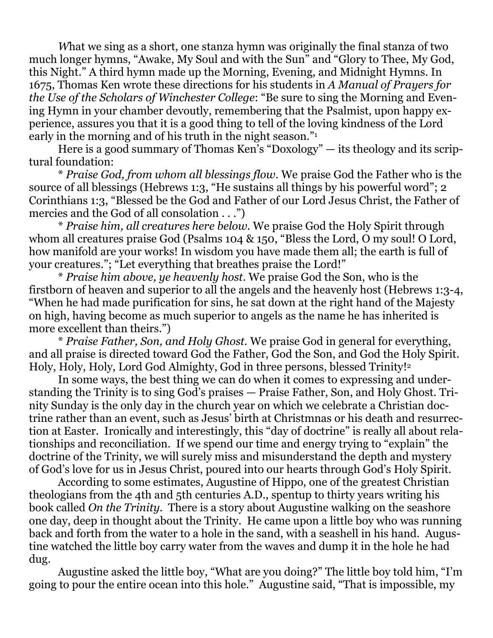*W*hat we sing as a short, one stanza hymn was originally the final stanza of two much longer hymns, "Awake, My Soul and with the Sun" and "Glory to Thee, My God, this Night." A third hymn made up the Morning, Evening, and Midnight Hymns. In 1675, Thomas Ken wrote these directions for his students in *A Manual of Prayers for the Use of the Scholars of Winchester College*: "Be sure to sing the Morning and Evening Hymn in your chamber devoutly, remembering that the Psalmist, upon happy experience, assures you that it is a good thing to tell of the loving kindness of the Lord early in the morning and of his truth in the night season."<sup>1</sup>

 Here is a good summary of Thomas Ken's "Doxology" — its theology and its scriptural foundation:

 \* *Praise God, from whom all blessings flow*. We praise God the Father who is the source of all blessings (Hebrews 1:3, "He sustains all things by his powerful word"; 2 Corinthians 1:3, "Blessed be the God and Father of our Lord Jesus Christ, the Father of mercies and the God of all consolation . . .")

 \* *Praise him, all creatures here below*. We praise God the Holy Spirit through whom all creatures praise God (Psalms 104 & 150, "Bless the Lord, O my soul! O Lord, how manifold are your works! In wisdom you have made them all; the earth is full of your creatures."; "Let everything that breathes praise the Lord!"

 \* *Praise him above, ye heavenly host.* We praise God the Son, who is the firstborn of heaven and superior to all the angels and the heavenly host (Hebrews 1:3-4, "When he had made purification for sins, he sat down at the right hand of the Majesty on high, having become as much superior to angels as the name he has inherited is more excellent than theirs.")

 \* *Praise Father, Son, and Holy Ghost.* We praise God in general for everything, and all praise is directed toward God the Father, God the Son, and God the Holy Spirit. Holy, Holy, Holy, Lord God Almighty, God in three persons, blessed Trinity!<sup>2</sup>

 In some ways, the best thing we can do when it comes to expressing and understanding the Trinity is to sing God's praises — Praise Father, Son, and Holy Ghost. Trinity Sunday is the only day in the church year on which we celebrate a Christian doctrine rather than an event, such as Jesus' birth at Christmnas or his death and resurrection at Easter. Ironically and interestingly, this "day of doctrine" is really all about relationships and reconciliation. If we spend our time and energy trying to "explain" the doctrine of the Trinity, we will surely miss and misunderstand the depth and mystery of God's love for us in Jesus Christ, poured into our hearts through God's Holy Spirit.

 According to some estimates, Augustine of Hippo, one of the greatest Christian theologians from the 4th and 5th centuries A.D., spentup to thirty years writing his book called *On the Trinity*. There is a story about Augustine walking on the seashore one day, deep in thought about the Trinity. He came upon a little boy who was running back and forth from the water to a hole in the sand, with a seashell in his hand. Augustine watched the little boy carry water from the waves and dump it in the hole he had dug.

 Augustine asked the little boy, "What are you doing?" The little boy told him, "I'm going to pour the entire ocean into this hole." Augustine said, "That is impossible, my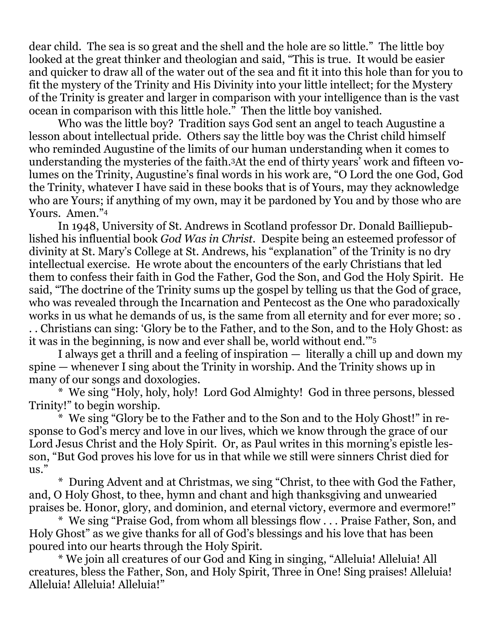dear child. The sea is so great and the shell and the hole are so little." The little boy looked at the great thinker and theologian and said, "This is true. It would be easier and quicker to draw all of the water out of the sea and fit it into this hole than for you to fit the mystery of the Trinity and His Divinity into your little intellect; for the Mystery of the Trinity is greater and larger in comparison with your intelligence than is the vast ocean in comparison with this little hole." Then the little boy vanished.

 Who was the little boy? Tradition says God sent an angel to teach Augustine a lesson about intellectual pride. Others say the little boy was the Christ child himself who reminded Augustine of the limits of our human understanding when it comes to understanding the mysteries of the faith.3At the end of thirty years' work and fifteen volumes on the Trinity, Augustine's final words in his work are, "O Lord the one God, God the Trinity, whatever I have said in these books that is of Yours, may they acknowledge who are Yours; if anything of my own, may it be pardoned by You and by those who are Yours. Amen."<sup>4</sup>

In 1948, University of St. Andrews in Scotland professor Dr. Donald Bailliepublished his influential book *God Was in Christ*. Despite being an esteemed professor of divinity at St. Mary's College at St. Andrews, his "explanation" of the Trinity is no dry intellectual exercise. He wrote about the encounters of the early Christians that led them to confess their faith in God the Father, God the Son, and God the Holy Spirit. He said, "The doctrine of the Trinity sums up the gospel by telling us that the God of grace, who was revealed through the Incarnation and Pentecost as the One who paradoxically works in us what he demands of us, is the same from all eternity and for ever more; so . . . Christians can sing: 'Glory be to the Father, and to the Son, and to the Holy Ghost: as it was in the beginning, is now and ever shall be, world without end.'"<sup>5</sup>

 I always get a thrill and a feeling of inspiration — literally a chill up and down my spine — whenever I sing about the Trinity in worship. And the Trinity shows up in many of our songs and doxologies.

 \* We sing "Holy, holy, holy! Lord God Almighty! God in three persons, blessed Trinity!" to begin worship.

 \* We sing "Glory be to the Father and to the Son and to the Holy Ghost!" in response to God's mercy and love in our lives, which we know through the grace of our Lord Jesus Christ and the Holy Spirit. Or, as Paul writes in this morning's epistle lesson, "But God proves his love for us in that while we still were sinners Christ died for us."

 \* During Advent and at Christmas, we sing "Christ, to thee with God the Father, and, O Holy Ghost, to thee, hymn and chant and high thanksgiving and unwearied praises be. Honor, glory, and dominion, and eternal victory, evermore and evermore!"

 \* We sing "Praise God, from whom all blessings flow . . . Praise Father, Son, and Holy Ghost" as we give thanks for all of God's blessings and his love that has been poured into our hearts through the Holy Spirit.

 \* We join all creatures of our God and King in singing, "Alleluia! Alleluia! All creatures, bless the Father, Son, and Holy Spirit, Three in One! Sing praises! Alleluia! Alleluia! Alleluia! Alleluia!"